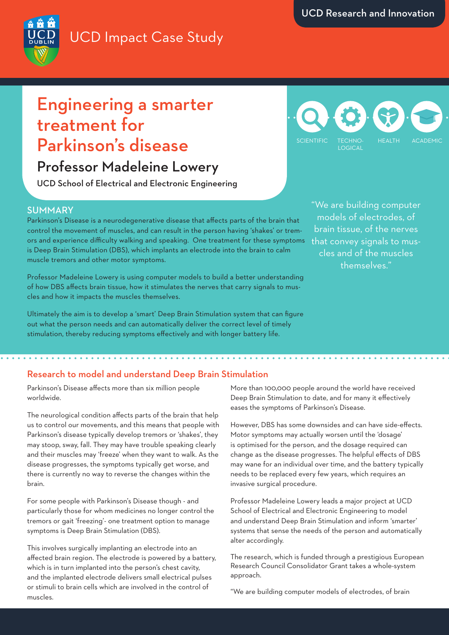# UCD Impact Case Study



## Engineering a smarter treatment for Parkinson's disease

## Professor Madeleine Lowery

UCD School of Electrical and Electronic Engineering

### SUMMARY

Parkinson's Disease is a neurodegenerative disease that affects parts of the brain that control the movement of muscles, and can result in the person having 'shakes' or tremors and experience difficulty walking and speaking. One treatment for these symptoms is Deep Brain Stimulation (DBS), which implants an electrode into the brain to calm muscle tremors and other motor symptoms.

Professor Madeleine Lowery is using computer models to build a better understanding of how DBS affects brain tissue, how it stimulates the nerves that carry signals to muscles and how it impacts the muscles themselves.

Ultimately the aim is to develop a 'smart' Deep Brain Stimulation system that can figure out what the person needs and can automatically deliver the correct level of timely stimulation, thereby reducing symptoms effectively and with longer battery life.

TECHNO-LOGICAL SCIENTIFIC TECHNOL HEALTH ACADEMIC

> "We are building computer models of electrodes, of brain tissue, of the nerves that convey signals to muscles and of the muscles themselves."

## Research to model and understand Deep Brain Stimulation

Parkinson's Disease affects more than six million people worldwide.

The neurological condition affects parts of the brain that help us to control our movements, and this means that people with Parkinson's disease typically develop tremors or 'shakes', they may stoop, sway, fall. They may have trouble speaking clearly and their muscles may 'freeze' when they want to walk. As the disease progresses, the symptoms typically get worse, and there is currently no way to reverse the changes within the brain.

For some people with Parkinson's Disease though - and particularly those for whom medicines no longer control the tremors or gait 'freezing'- one treatment option to manage symptoms is Deep Brain Stimulation (DBS).

This involves surgically implanting an electrode into an affected brain region. The electrode is powered by a battery, which is in turn implanted into the person's chest cavity, and the implanted electrode delivers small electrical pulses or stimuli to brain cells which are involved in the control of muscles.

More than 100,000 people around the world have received Deep Brain Stimulation to date, and for many it effectively eases the symptoms of Parkinson's Disease.

However, DBS has some downsides and can have side-effects. Motor symptoms may actually worsen until the 'dosage' is optimised for the person, and the dosage required can change as the disease progresses. The helpful effects of DBS may wane for an individual over time, and the battery typically needs to be replaced every few years, which requires an invasive surgical procedure.

Professor Madeleine Lowery leads a major project at UCD School of Electrical and Electronic Engineering to model and understand Deep Brain Stimulation and inform 'smarter' systems that sense the needs of the person and automatically alter accordingly.

The research, which is funded through a prestigious European Research Council Consolidator Grant takes a whole-system approach.

"We are building computer models of electrodes, of brain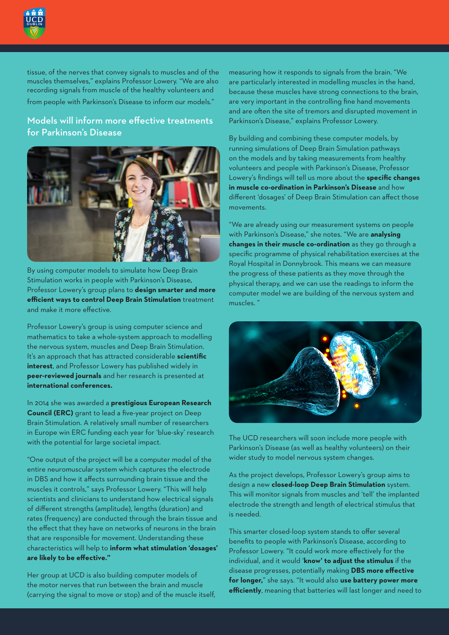

tissue, of the nerves that convey signals to muscles and of the muscles themselves," explains Professor Lowery. "We are also recording signals from muscle of the healthy volunteers and

from people with Parkinson's Disease to inform our models."

## Models will inform more effective treatments for Parkinson's Disease



By using computer models to simulate how Deep Brain Stimulation works in people with Parkinson's Disease, Professor Lowery's group plans to **design smarter and more efficient ways to control Deep Brain Stimulation** treatment and make it more effective.

Professor Lowery's group is using computer science and mathematics to take a whole-system approach to modelling the nervous system, muscles and Deep Brain Stimulation. It's an approach that has attracted considerable **scientific interest**, and Professor Lowery has published widely in **peer-reviewed journals** and her research is presented at **international conferences.**

In 2014 she was awarded a **prestigious European Research Council (ERC)** grant to lead a five-year project on Deep Brain Stimulation. A relatively small number of researchers in Europe win ERC funding each year for 'blue-sky' research with the potential for large societal impact.

"One output of the project will be a computer model of the entire neuromuscular system which captures the electrode in DBS and how it affects surrounding brain tissue and the muscles it controls," says Professor Lowery. "This will help scientists and clinicians to understand how electrical signals of different strengths (amplitude), lengths (duration) and rates (frequency) are conducted through the brain tissue and the effect that they have on networks of neurons in the brain that are responsible for movement. Understanding these characteristics will help to **inform what stimulation 'dosages' are likely to be effective."**

Her group at UCD is also building computer models of the motor nerves that run between the brain and muscle (carrying the signal to move or stop) and of the muscle itself, measuring how it responds to signals from the brain. "We are particularly interested in modelling muscles in the hand, because these muscles have strong connections to the brain, are very important in the controlling fine hand movements and are often the site of tremors and disrupted movement in Parkinson's Disease," explains Professor Lowery.

By building and combining these computer models, by running simulations of Deep Brain Simulation pathways on the models and by taking measurements from healthy volunteers and people with Parkinson's Disease, Professor Lowery's findings will tell us more about the **specific changes in muscle co-ordination in Parkinson's Disease** and how different 'dosages' of Deep Brain Stimulation can affect those movements.

"We are already using our measurement systems on people with Parkinson's Disease," she notes. "We are **analysing changes in their muscle co-ordination** as they go through a specific programme of physical rehabilitation exercises at the Royal Hospital in Donnybrook. This means we can measure the progress of these patients as they move through the physical therapy, and we can use the readings to inform the computer model we are building of the nervous system and muscles. "



The UCD researchers will soon include more people with Parkinson's Disease (as well as healthy volunteers) on their wider study to model nervous system changes.

As the project develops, Professor Lowery's group aims to design a new **closed-loop Deep Brain Stimulation** system. This will monitor signals from muscles and 'tell' the implanted electrode the strength and length of electrical stimulus that is needed.

This smarter closed-loop system stands to offer several benefits to people with Parkinson's Disease, according to Professor Lowery. "It could work more effectively for the individual, and it would '**know' to adjust the stimulus** if the disease progresses, potentially making **DBS more effective for longer,**" she says. "It would also **use battery power more efficiently**, meaning that batteries will last longer and need to